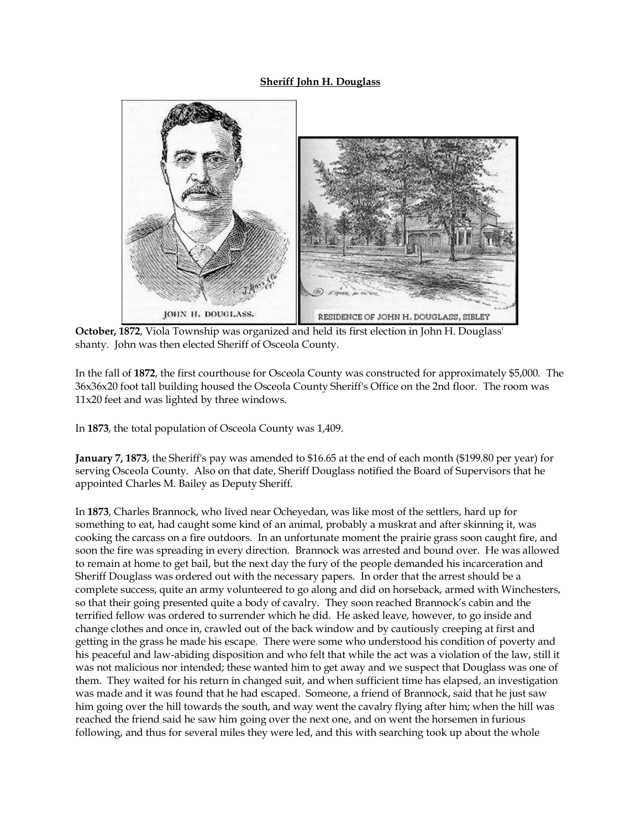## **Sheriff John H. Douglass**



**October, 1872**, Viola Township was organized and held its first election in John H. Douglass' shanty. John was then elected Sheriff of Osceola County.

In the fall of **1872**, the first courthouse for Osceola County was constructed for approximately \$5,000. The 36x36x20 foot tall building housed the Osceola County Sheriff's Office on the 2nd floor. The room was 11x20 feet and was lighted by three windows.

In **1873**, the total population of Osceola County was 1,409.

**January 7, 1873**, the Sheriff's pay was amended to \$16.65 at the end of each month (\$199.80 per year) for serving Osceola County. Also on that date, Sheriff Douglass notified the Board of Supervisors that he appointed Charles M. Bailey as Deputy Sheriff.

In **1873**, Charles Brannock, who lived near Ocheyedan, was like most of the settlers, hard up for something to eat, had caught some kind of an animal, probably a muskrat and after skinning it, was cooking the carcass on a fire outdoors. In an unfortunate moment the prairie grass soon caught fire, and soon the fire was spreading in every direction. Brannock was arrested and bound over. He was allowed to remain at home to get bail, but the next day the fury of the people demanded his incarceration and Sheriff Douglass was ordered out with the necessary papers. In order that the arrest should be a complete success, quite an army volunteered to go along and did on horseback, armed with Winchesters, so that their going presented quite a body of cavalry. They soon reached Brannock's cabin and the terrified fellow was ordered to surrender which he did. He asked leave, however, to go inside and change clothes and once in, crawled out of the back window and by cautiously creeping at first and getting in the grass he made his escape. There were some who understood his condition of poverty and his peaceful and law-abiding disposition and who felt that while the act was a violation of the law, still it was not malicious nor intended; these wanted him to get away and we suspect that Douglass was one of them. They waited for his return in changed suit, and when sufficient time has elapsed, an investigation was made and it was found that he had escaped. Someone, a friend of Brannock, said that he just saw him going over the hill towards the south, and way went the cavalry flying after him; when the hill was reached the friend said he saw him going over the next one, and on went the horsemen in furious following, and thus for several miles they were led, and this with searching took up about the whole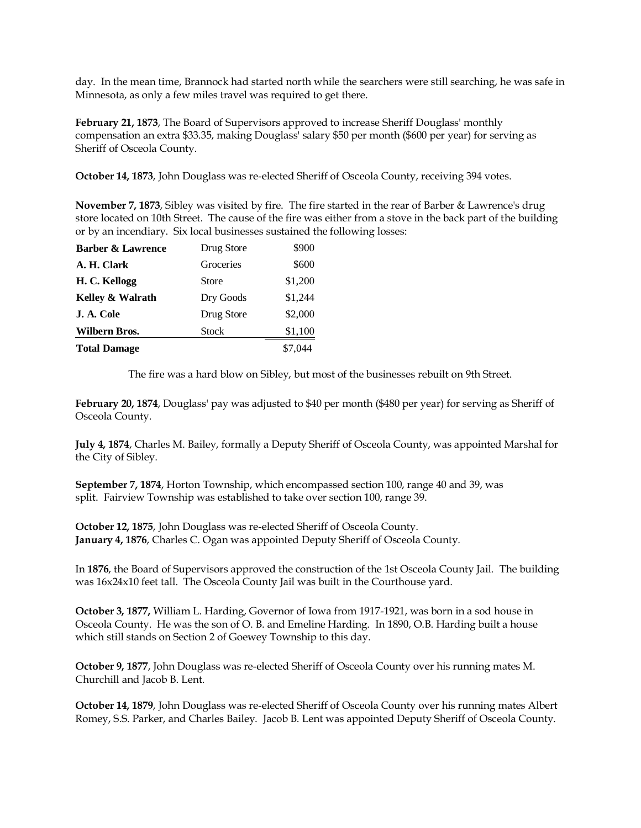day. In the mean time, Brannock had started north while the searchers were still searching, he was safe in Minnesota, as only a few miles travel was required to get there.

**February 21, 1873**, The Board of Supervisors approved to increase Sheriff Douglass' monthly compensation an extra \$33.35, making Douglass' salary \$50 per month (\$600 per year) for serving as Sheriff of Osceola County.

**October 14, 1873**, John Douglass was re-elected Sheriff of Osceola County, receiving 394 votes.

**November 7, 1873**, Sibley was visited by fire. The fire started in the rear of Barber & Lawrence's drug store located on 10th Street. The cause of the fire was either from a stove in the back part of the building or by an incendiary. Six local businesses sustained the following losses:

| <b>Total Damage</b>          |              | \$7,044 |
|------------------------------|--------------|---------|
| Wilbern Bros.                | <b>Stock</b> | \$1,100 |
| J. A. Cole                   | Drug Store   | \$2,000 |
| Kelley & Walrath             | Dry Goods    | \$1,244 |
| H. C. Kellogg                | Store        | \$1,200 |
| A. H. Clark                  | Groceries    | \$600   |
| <b>Barber &amp; Lawrence</b> | Drug Store   | \$900   |

The fire was a hard blow on Sibley, but most of the businesses rebuilt on 9th Street.

**February 20, 1874**, Douglass' pay was adjusted to \$40 per month (\$480 per year) for serving as Sheriff of Osceola County.

**July 4, 1874**, Charles M. Bailey, formally a Deputy Sheriff of Osceola County, was appointed Marshal for the City of Sibley.

**September 7, 1874**, Horton Township, which encompassed section 100, range 40 and 39, was split. Fairview Township was established to take over section 100, range 39.

**October 12, 1875**, John Douglass was re-elected Sheriff of Osceola County. **January 4, 1876**, Charles C. Ogan was appointed Deputy Sheriff of Osceola County.

In **1876**, the Board of Supervisors approved the construction of the 1st Osceola County Jail. The building was 16x24x10 feet tall. The Osceola County Jail was built in the Courthouse yard.

**October 3, 1877,** William L. Harding, Governor of Iowa from 1917-1921, was born in a sod house in Osceola County. He was the son of O. B. and Emeline Harding. In 1890, O.B. Harding built a house which still stands on Section 2 of Goewey Township to this day.

**October 9, 1877**, John Douglass was re-elected Sheriff of Osceola County over his running mates M. Churchill and Jacob B. Lent.

**October 14, 1879**, John Douglass was re-elected Sheriff of Osceola County over his running mates Albert Romey, S.S. Parker, and Charles Bailey. Jacob B. Lent was appointed Deputy Sheriff of Osceola County.